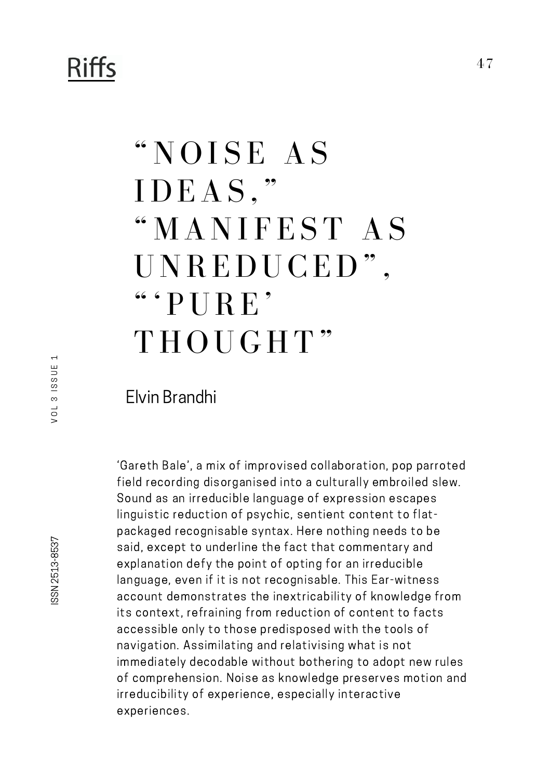## "NOISE AS  $\rm{IDEAS}$  , " "MANIFEST AS UNREDUCED" ,  $``$  ' PURE' THOUGHT"

## Elvin Brandhi

'Gareth Bale', a mix of improvised collaboration, pop parroted field recording disorganised into a culturally embroiled slew. Sound as an irreducible language of expression escapes linguistic reduction of psychic, sentient content to flatpackaged recognisable syntax. Here nothing needs to be said, except to underline the fact that commentary and explanation defy the point of opting for an irreducible language, even if it is not recognisable. This Ear-witness account demonstrates the inextricability of knowledge from its context, refraining from reduction of content to facts accessible only to those predisposed with the tools of navigation. Assimilating and relativising what is not immediately decodable without bothering to adopt new rules of comprehension. Noise as knowledge preserves motion and irreducibility of experience, especially interactive experiences.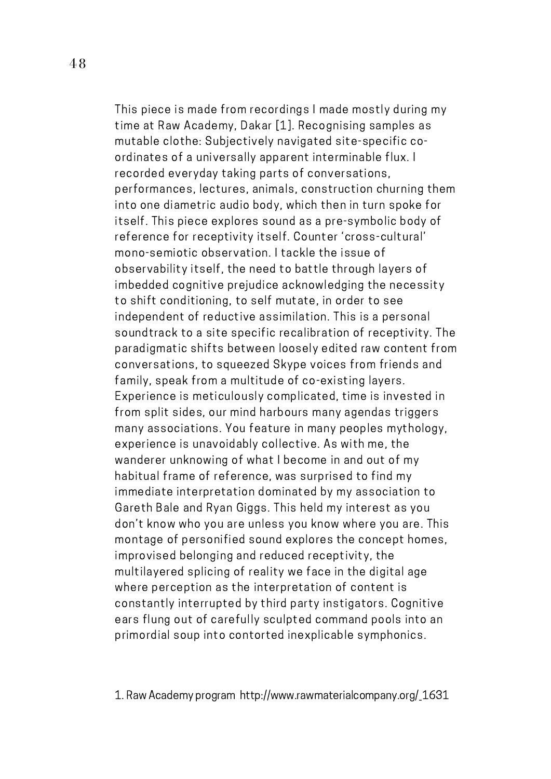This piece is made from recordings I made mostly during my time at Raw Academy, Dakar [1]. Recognising samples as mutable clothe: Subjectively navigated site-specific coordinates of a universally apparent interminable flux. I recorded everyday taking parts of conversations, performances, lectures, animals, construction churning them into one diametric audio body, which then in turn spoke for itself. This piece explores sound as a pre-symbolic body of reference for receptivity itself. Counter 'cross-cultural' mono-semiotic observation. I tackle the issue of observability itself, the need to battle through layers of imbedded cognitive prejudice acknowledging the necessity to shift conditioning, to self mutate, in order to see independent of reductive assimilation. This is a personal soundtrack to a site specific recalibration of receptivity. The paradigmatic shifts between loosely edited raw content from conversations, to squeezed Skype voices from friends and family, speak from a multitude of co-existing layers. Experience is meticulously complicated, time is invested in from split sides, our mind harbours many agendas triggers many associations. You feature in many peoples mythology, experience is unavoidably collective. As with me, the wanderer unknowing of what I become in and out of my habitual frame of reference, was surprised to find my immediate interpretation dominated by my association to Gareth Bale and Ryan Giggs. This held my interest as you don't know who you are unless you know where you are. This montage of personified sound explores the concept homes, improvised belonging and reduced receptivity, the multilayered splicing of reality we face in the digital age where perception as the interpretation of content is constantly interrupted by third party instigators. Cognitive ears flung out of carefully sculpted command pools into an primordial soup into contorted inexplicable symphonics.

1. Raw Academy program http://www.rawmaterialcompany.org/\_1631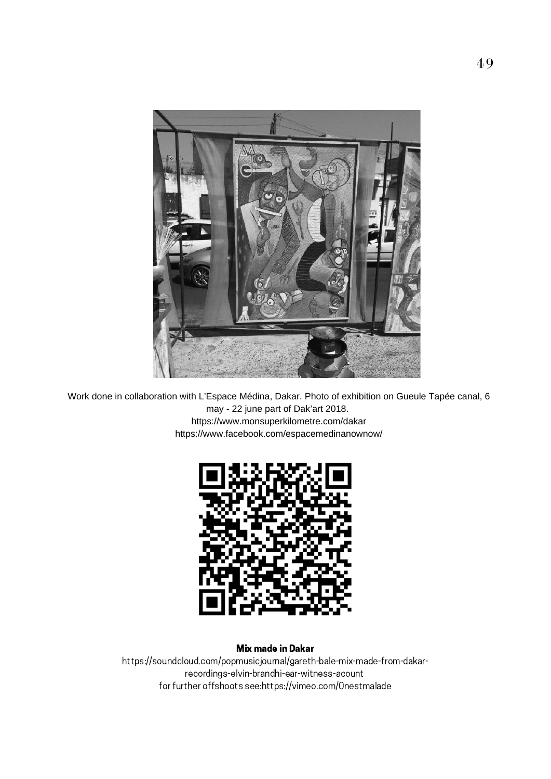

Work done in collaboration with L'Espace Médina, Dakar. Photo of exhibition on Gueule Tapée canal, 6 may - 22 june part of Dak'art 2018. https://www.monsuperkilometre.com/dakar https://www.facebook.com/espacemedinanownow/



## Mix made in Dakar

https://soundcloud.com/popmusicjournal/gareth-bale-mix-made-from-dakarrecordings-elvin-brandhi-ear-witness-acount for further offshoots see:https://vimeo.com/0nestmalade